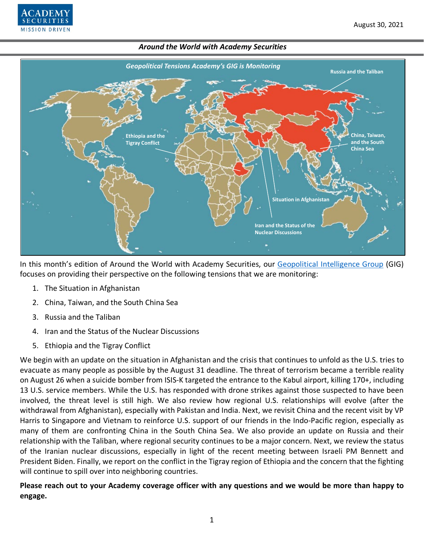

In this month's edition of Around the World with Academy Securities, our [Geopolitical Intelligence Group](https://www.academysecurities.com/geopolitical/geopolitical-intelligence-group/) (GIG) focuses on providing their perspective on the following tensions that we are monitoring:

- 1. The Situation in Afghanistan
- 2. China, Taiwan, and the South China Sea
- 3. Russia and the Taliban

**MISSION DRIVEN** 

- 4. Iran and the Status of the Nuclear Discussions
- 5. Ethiopia and the Tigray Conflict

We begin with an update on the situation in Afghanistan and the crisis that continues to unfold as the U.S. tries to evacuate as many people as possible by the August 31 deadline. The threat of terrorism became a terrible reality on August 26 when a suicide bomber from ISIS-K targeted the entrance to the Kabul airport, killing 170+, including 13 U.S. service members. While the U.S. has responded with drone strikes against those suspected to have been involved, the threat level is still high. We also review how regional U.S. relationships will evolve (after the withdrawal from Afghanistan), especially with Pakistan and India. Next, we revisit China and the recent visit by VP Harris to Singapore and Vietnam to reinforce U.S. support of our friends in the Indo-Pacific region, especially as many of them are confronting China in the South China Sea. We also provide an update on Russia and their relationship with the Taliban, where regional security continues to be a major concern. Next, we review the status of the Iranian nuclear discussions, especially in light of the recent meeting between Israeli PM Bennett and President Biden. Finally, we report on the conflict in the Tigray region of Ethiopia and the concern that the fighting will continue to spill over into neighboring countries.

**Please reach out to your Academy coverage officer with any questions and we would be more than happy to engage.**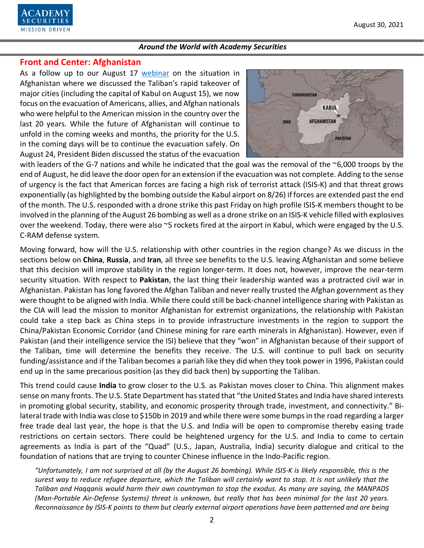

# **Front and Center: Afghanistan**

As a follow up to our August 17 [webinar](https://www.youtube.com/watch?v=8PX1mEskh2g) on the situation in Afghanistan where we discussed the Taliban's rapid takeover of major cities (including the capital of Kabul on August 15), we now focus on the evacuation of Americans, allies, and Afghan nationals who were helpful to the American mission in the country over the last 20 years. While the future of Afghanistan will continue to unfold in the coming weeks and months, the priority for the U.S. in the coming days will be to continue the evacuation safely. On August 24, President Biden discussed the status of the evacuation



with leaders of the G-7 nations and while he indicated that the goal was the removal of the ~6,000 troops by the end of August, he did leave the door open for an extension if the evacuation was not complete. Adding to the sense of urgency is the fact that American forces are facing a high risk of terrorist attack (ISIS-K) and that threat grows exponentially (as highlighted by the bombing outside the Kabul airport on 8/26) if forces are extended past the end of the month. The U.S. responded with a drone strike this past Friday on high profile ISIS-K members thought to be involved in the planning of the August 26 bombing as well as a drone strike on an ISIS-K vehicle filled with explosives over the weekend. Today, there were also ~5 rockets fired at the airport in Kabul, which were engaged by the U.S. C-RAM defense system.

Moving forward, how will the U.S. relationship with other countries in the region change? As we discuss in the sections below on **China**, **Russia**, and **Iran**, all three see benefits to the U.S. leaving Afghanistan and some believe that this decision will improve stability in the region longer-term. It does not, however, improve the near-term security situation. With respect to **Pakistan**, the last thing their leadership wanted was a protracted civil war in Afghanistan. Pakistan has long favored the Afghan Taliban and never really trusted the Afghan government as they were thought to be aligned with India. While there could still be back-channel intelligence sharing with Pakistan as the CIA will lead the mission to monitor Afghanistan for extremist organizations, the relationship with Pakistan could take a step back as China steps in to provide infrastructure investments in the region to support the China/Pakistan Economic Corridor (and Chinese mining for rare earth minerals in Afghanistan). However, even if Pakistan (and their intelligence service the ISI) believe that they "won" in Afghanistan because of their support of the Taliban, time will determine the benefits they receive. The U.S. will continue to pull back on security funding/assistance and if the Taliban becomes a pariah like they did when they took power in 1996, Pakistan could end up in the same precarious position (as they did back then) by supporting the Taliban.

This trend could cause **India** to grow closer to the U.S. as Pakistan moves closer to China. This alignment makes sense on many fronts. The U.S. State Department has stated that "the United States and India have shared interests in promoting global security, stability, and economic prosperity through trade, investment, and connectivity." Bilateral trade with India was close to \$150b in 2019 and while there were some bumps in the road regarding a larger free trade deal last year, the hope is that the U.S. and India will be open to compromise thereby easing trade restrictions on certain sectors. There could be heightened urgency for the U.S. and India to come to certain agreements as India is part of the "Quad" (U.S., Japan, Australia, India) security dialogue and critical to the foundation of nations that are trying to counter Chinese influence in the Indo-Pacific region.

*"Unfortunately, I am not surprised at all (by the August 26 bombing). While ISIS-K is likely responsible, this is the surest way to reduce refugee departure, which the Taliban will certainly want to stop. It is not unlikely that the Taliban and Haqqanis would harm their own countryman to stop the exodus. As many are saying, the MANPADS (Man-Portable Air-Defense Systems) threat is unknown, but really that has been minimal for the last 20 years. Reconnaissance by ISIS-K points to them but clearly external airport operations have been patterned and are being*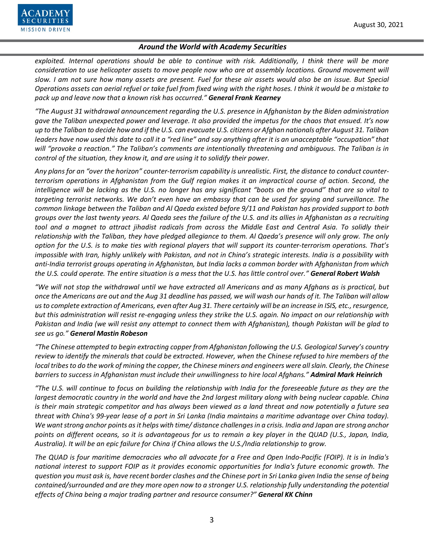

*exploited. Internal operations should be able to continue with risk. Additionally, I think there will be more consideration to use helicopter assets to move people now who are at assembly locations. Ground movement will slow. I am not sure how many assets are present. Fuel for these air assets would also be an issue. But Special Operations assets can aerial refuel or take fuel from fixed wing with the right hoses. I think it would be a mistake to pack up and leave now that a known risk has occurred." General Frank Kearney*

*"The August 31 withdrawal announcement regarding the U.S. presence in Afghanistan by the Biden administration gave the Taliban unexpected power and leverage. It also provided the impetus for the chaos that ensued. It's now up to the Taliban to decide how and if the U.S. can evacuate U.S. citizens or Afghan nationals after August 31. Taliban leaders have now used this date to call it a "red line" and say anything after it is an unacceptable "occupation" that will "provoke a reaction." The Taliban's comments are intentionally threatening and ambiguous. The Taliban is in control of the situation, they know it, and are using it to solidify their power.*

*Any plans for an "over the horizon" counter-terrorism capability is unrealistic. First, the distance to conduct counterterrorism operations in Afghanistan from the Gulf region makes it an impractical course of action. Second, the intelligence will be lacking as the U.S. no longer has any significant "boots on the ground" that are so vital to targeting terrorist networks. We don't even have an embassy that can be used for spying and surveillance. The common linkage between the Taliban and Al Qaeda existed before 9/11 and Pakistan has provided support to both groups over the last twenty years. Al Qaeda sees the failure of the U.S. and its allies in Afghanistan as a recruiting tool and a magnet to attract jihadist radicals from across the Middle East and Central Asia. To solidly their relationship with the Taliban, they have pledged allegiance to them. Al Qaeda's presence will only grow. The only option for the U.S. is to make ties with regional players that will support its counter-terrorism operations. That's impossible with Iran, highly unlikely with Pakistan, and not in China's strategic interests. India is a possibility with anti-India terrorist groups operating in Afghanistan, but India lacks a common border with Afghanistan from which the U.S. could operate. The entire situation is a mess that the U.S. has little control over." General Robert Walsh*

*"We will not stop the withdrawal until we have extracted all Americans and as many Afghans as is practical, but once the Americans are out and the Aug 31 deadline has passed, we will wash our hands of it. The Taliban will allow us to complete extraction of Americans, even after Aug 31. There certainly will be an increase in ISIS, etc.,resurgence, but this administration will resist re-engaging unless they strike the U.S. again. No impact on our relationship with Pakistan and India (we will resist any attempt to connect them with Afghanistan), though Pakistan will be glad to see us go." General Mastin Robeson*

*"The Chinese attempted to begin extracting copper from Afghanistan following the U.S. Geological Survey's country review to identify the minerals that could be extracted. However, when the Chinese refused to hire members of the local tribes to do the work of mining the copper, the Chinese miners and engineers were all slain. Clearly, the Chinese barriers to success in Afghanistan must include their unwillingness to hire local Afghans." Admiral Mark Heinrich*

*"The U.S. will continue to focus on building the relationship with India for the foreseeable future as they are the largest democratic country in the world and have the 2nd largest military along with being nuclear capable. China is their main strategic competitor and has always been viewed as a land threat and now potentially a future sea threat with China's 99-year lease of a port in Sri Lanka (India maintains a maritime advantage over China today). We want strong anchor points as it helps with time/ distance challenges in a crisis. India and Japan are strong anchor points on different oceans, so it is advantageous for us to remain a key player in the QUAD (U.S., Japan, India, Australia). It will be an epic failure for China if China allows the U.S./India relationship to grow.*

*The QUAD is four maritime democracies who all advocate for a Free and Open Indo-Pacific (FOIP). It is in India's national interest to support FOIP as it provides economic opportunities for India's future economic growth. The question you must ask is, have recent border clashes and the Chinese port in Sri Lanka given India the sense of being contained/surrounded and are they more open now to a stronger U.S. relationship fully understanding the potential effects of China being a major trading partner and resource consumer?" General KK Chinn*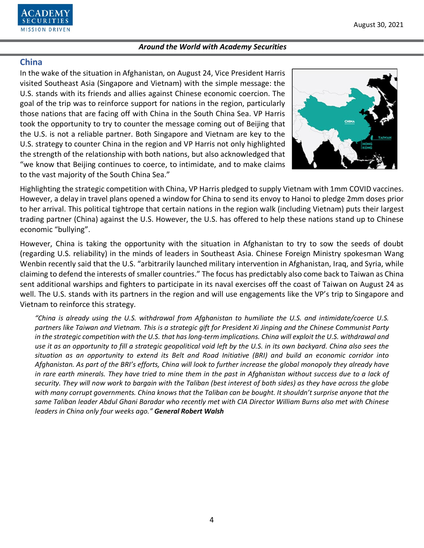

## **China**

In the wake of the situation in Afghanistan, on August 24, Vice President Harris visited Southeast Asia (Singapore and Vietnam) with the simple message: the U.S. stands with its friends and allies against Chinese economic coercion. The goal of the trip was to reinforce support for nations in the region, particularly those nations that are facing off with China in the South China Sea. VP Harris took the opportunity to try to counter the message coming out of Beijing that the U.S. is not a reliable partner. Both Singapore and Vietnam are key to the U.S. strategy to counter China in the region and VP Harris not only highlighted the strength of the relationship with both nations, but also acknowledged that "we know that Beijing continues to coerce, to intimidate, and to make claims to the vast majority of the South China Sea."



Highlighting the strategic competition with China, VP Harris pledged to supply Vietnam with 1mm COVID vaccines. However, a delay in travel plans opened a window for China to send its envoy to Hanoi to pledge 2mm doses prior to her arrival. This political tightrope that certain nations in the region walk (including Vietnam) puts their largest trading partner (China) against the U.S. However, the U.S. has offered to help these nations stand up to Chinese economic "bullying".

However, China is taking the opportunity with the situation in Afghanistan to try to sow the seeds of doubt (regarding U.S. reliability) in the minds of leaders in Southeast Asia. Chinese Foreign Ministry spokesman Wang Wenbin recently said that the U.S. "arbitrarily launched military intervention in Afghanistan, Iraq, and Syria, while claiming to defend the interests of smaller countries." The focus has predictably also come back to Taiwan as China sent additional warships and fighters to participate in its naval exercises off the coast of Taiwan on August 24 as well. The U.S. stands with its partners in the region and will use engagements like the VP's trip to Singapore and Vietnam to reinforce this strategy.

*"China is already using the U.S. withdrawal from Afghanistan to humiliate the U.S. and intimidate/coerce U.S. partners like Taiwan and Vietnam. This is a strategic gift for President Xi Jinping and the Chinese Communist Party in the strategic competition with the U.S. that has long-term implications. China will exploit the U.S. withdrawal and use it as an opportunity to fill a strategic geopolitical void left by the U.S. in its own backyard. China also sees the situation as an opportunity to extend its Belt and Road Initiative (BRI) and build an economic corridor into Afghanistan. As part of the BRI's efforts, China will look to further increase the global monopoly they already have in rare earth minerals. They have tried to mine them in the past in Afghanistan without success due to a lack of security. They will now work to bargain with the Taliban (best interest of both sides) as they have across the globe with many corrupt governments. China knows that the Taliban can be bought. It shouldn't surprise anyone that the same Taliban leader Abdul Ghani Baradar who recently met with CIA Director William Burns also met with Chinese leaders in China only four weeks ago." General Robert Walsh*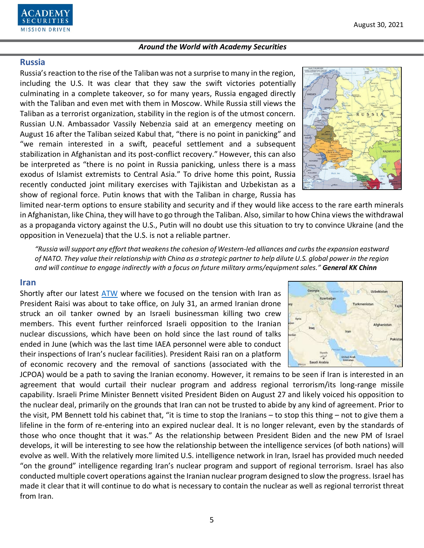5

#### *Around the World with Academy Securities*

## **Russia**

Russia's reaction to the rise of the Taliban was not a surprise to many in the region, including the U.S. It was clear that they saw the swift victories potentially culminating in a complete takeover, so for many years, Russia engaged directly with the Taliban and even met with them in Moscow. While Russia still views the Taliban as a terrorist organization, stability in the region is of the utmost concern. Russian U.N. Ambassador Vassily Nebenzia said at an emergency meeting on August 16 after the Taliban seized Kabul that, "there is no point in panicking" and "we remain interested in a swift, peaceful settlement and a subsequent stabilization in Afghanistan and its post-conflict recovery." However, this can also be interpreted as "there is no point in Russia panicking, unless there is a mass exodus of Islamist extremists to Central Asia." To drive home this point, Russia recently conducted joint military exercises with Tajikistan and Uzbekistan as a show of regional force. Putin knows that with the Taliban in charge, Russia has

limited near-term options to ensure stability and security and if they would like access to the rare earth minerals in Afghanistan, like China, they will have to go through the Taliban. Also, similar to how China views the withdrawal as a propaganda victory against the U.S., Putin will no doubt use this situation to try to convince Ukraine (and the opposition in Venezuela) that the U.S. is not a reliable partner.

*"Russia will support any effort that weakens the cohesion of Western-led alliances and curbs the expansion eastward of NATO. They value their relationship with China as a strategic partner to help dilute U.S. global power in the region and will continue to engage indirectly with a focus on future military arms/equipment sales." General KK Chinn*

### **Iran**

Shortly after our latest [ATW](https://www.academysecurities.com/wordpress/wp-content/uploads/2021/07/Around-the-World-with-Academy-Securities-7.28.21.pdf) where we focused on the tension with Iran as President Raisi was about to take office, on July 31, an armed Iranian drone struck an oil tanker owned by an Israeli businessman killing two crew members. This event further reinforced Israeli opposition to the Iranian nuclear discussions, which have been on hold since the last round of talks ended in June (which was the last time IAEA personnel were able to conduct their inspections of Iran's nuclear facilities). President Raisi ran on a platform of economic recovery and the removal of sanctions (associated with the

JCPOA) would be a path to saving the Iranian economy. However, it remains to be seen if Iran is interested in an agreement that would curtail their nuclear program and address regional terrorism/its long-range missile capability. Israeli Prime Minister Bennett visited President Biden on August 27 and likely voiced his opposition to the nuclear deal, primarily on the grounds that Iran can not be trusted to abide by any kind of agreement. Prior to the visit, PM Bennett told his cabinet that, "it is time to stop the Iranians – to stop this thing – not to give them a lifeline in the form of re-entering into an expired nuclear deal. It is no longer relevant, even by the standards of those who once thought that it was." As the relationship between President Biden and the new PM of Israel develops, it will be interesting to see how the relationship between the intelligence services (of both nations) will evolve as well. With the relatively more limited U.S. intelligence network in Iran, Israel has provided much needed "on the ground" intelligence regarding Iran's nuclear program and support of regional terrorism. Israel has also conducted multiple covert operations against the Iranian nuclear program designed to slow the progress. Israel has made it clear that it will continue to do what is necessary to contain the nuclear as well as regional terrorist threat from Iran.





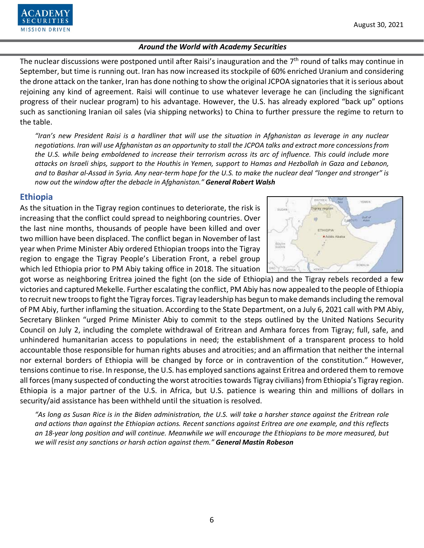The nuclear discussions were postponed until after Raisi's inauguration and the  $7<sup>th</sup>$  round of talks may continue in September, but time is running out. Iran has now increased its stockpile of 60% enriched Uranium and considering the drone attack on the tanker, Iran has done nothing to show the original JCPOA signatories that it is serious about rejoining any kind of agreement. Raisi will continue to use whatever leverage he can (including the significant progress of their nuclear program) to his advantage. However, the U.S. has already explored "back up" options such as sanctioning Iranian oil sales (via shipping networks) to China to further pressure the regime to return to the table.

*"Iran's new President Raisi is a hardliner that will use the situation in Afghanistan as leverage in any nuclear negotiations. Iran will use Afghanistan as an opportunity to stall the JCPOA talks and extract more concessions from the U.S. while being emboldened to increase their terrorism across its arc of influence. This could include more attacks on Israeli ships, support to the Houthis in Yemen, support to Hamas and Hezbollah in Gaza and Lebanon, and to Bashar al-Assad in Syria. Any near-term hope for the U.S. to make the nuclear deal "longer and stronger" is now out the window after the debacle in Afghanistan." General Robert Walsh*

# **Ethiopia**

**SECURITIES MISSION DRIVEN** 

As the situation in the Tigray region continues to deteriorate, the risk is increasing that the conflict could spread to neighboring countries. Over the last nine months, thousands of people have been killed and over two million have been displaced. The conflict began in November of last year when Prime Minister Abiy ordered Ethiopian troops into the Tigray region to engage the Tigray People's Liberation Front, a rebel group which led Ethiopia prior to PM Abiy taking office in 2018. The situation



got worse as neighboring Eritrea joined the fight (on the side of Ethiopia) and the Tigray rebels recorded a few victories and captured Mekelle. Further escalating the conflict, PM Abiy has now appealed to the people of Ethiopia to recruit new troops to fight the Tigray forces. Tigray leadership has begun to make demands including the removal of PM Abiy, further inflaming the situation. According to the State Department, on a July 6, 2021 call with PM Abiy, Secretary Blinken "urged Prime Minister Abiy to commit to the steps outlined by the United Nations Security Council on July 2, including the complete withdrawal of Eritrean and Amhara forces from Tigray; full, safe, and unhindered humanitarian access to populations in need; the establishment of a transparent process to hold accountable those responsible for human rights abuses and atrocities; and an affirmation that neither the internal nor external borders of Ethiopia will be changed by force or in contravention of the constitution." However, tensions continue to rise. In response, the U.S. has employed sanctions against Eritrea and ordered them to remove all forces(many suspected of conducting the worst atrocities towards Tigray civilians) from Ethiopia's Tigray region. Ethiopia is a major partner of the U.S. in Africa, but U.S. patience is wearing thin and millions of dollars in security/aid assistance has been withheld until the situation is resolved.

*"As long as Susan Rice is in the Biden administration, the U.S. will take a harsher stance against the Eritrean role and actions than against the Ethiopian actions. Recent sanctions against Eritrea are one example, and this reflects an 18-year long position and will continue. Meanwhile we will encourage the Ethiopians to be more measured, but we will resist any sanctions or harsh action against them." General Mastin Robeson*